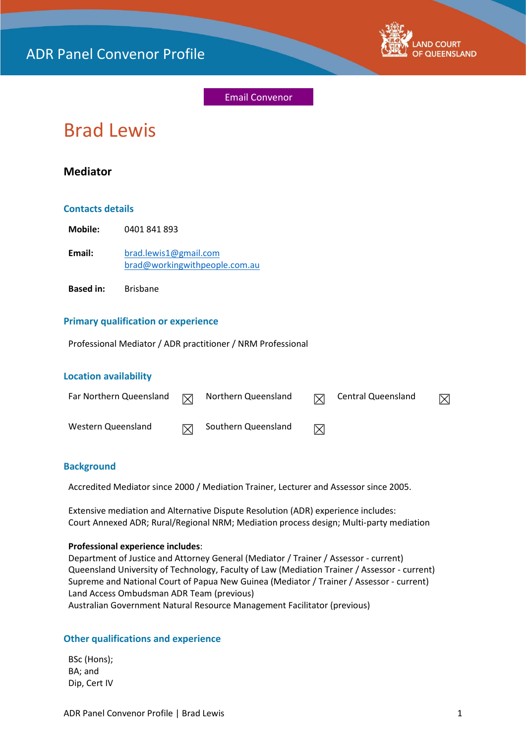

Email Convenor

# Brad Lewis

## **Mediator**

## **Contacts details**

| Mobile: | 0401841893                    |
|---------|-------------------------------|
| Email:  | brad.lewis1@gmail.com         |
|         | brad@workingwithpeople.com.au |

**Based in:** Brisbane

## **Primary qualification or experience**

Professional Mediator / ADR practitioner / NRM Professional

## **Location availability**

| Far Northern Queensland | $\triangledown$ | Northern Queensland | $\boxtimes$ | Central Queensland | $\boxtimes$ |
|-------------------------|-----------------|---------------------|-------------|--------------------|-------------|
| Western Queensland      | $\boxtimes$     | Southern Queensland | ⊠           |                    |             |

## **Background**

Accredited Mediator since 2000 / Mediation Trainer, Lecturer and Assessor since 2005.

Extensive mediation and Alternative Dispute Resolution (ADR) experience includes: Court Annexed ADR; Rural/Regional NRM; Mediation process design; Multi-party mediation

#### **Professional experience includes**:

Department of Justice and Attorney General (Mediator / Trainer / Assessor - current) Queensland University of Technology, Faculty of Law (Mediation Trainer / Assessor - current) Supreme and National Court of Papua New Guinea (Mediator / Trainer / Assessor - current) Land Access Ombudsman ADR Team (previous) Australian Government Natural Resource Management Facilitator (previous)

## **Other qualifications and experience**

BSc (Hons); BA; and Dip, Cert IV